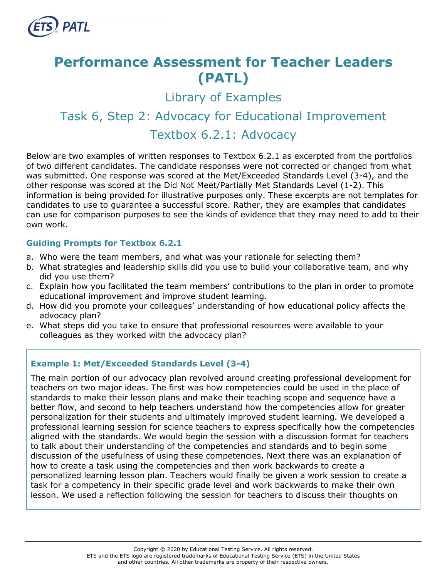

# **Performance Assessment for Teacher Leaders (PATL)**

Library of Examples

## Task 6, Step 2: Advocacy for Educational Improvement

### Textbox 6.2.1: Advocacy

Below are two examples of written responses to Textbox 6.2.1 as excerpted from the portfolios of two different candidates. The candidate responses were not corrected or changed from what was submitted. One response was scored at the Met/Exceeded Standards Level (3-4), and the other response was scored at the Did Not Meet/Partially Met Standards Level (1-2). This information is being provided for illustrative purposes only. These excerpts are not templates for candidates to use to guarantee a successful score. Rather, they are examples that candidates can use for comparison purposes to see the kinds of evidence that they may need to add to their own work.

#### **Guiding Prompts for Textbox 6.2.1**

- a. Who were the team members, and what was your rationale for selecting them?
- b. What strategies and leadership skills did you use to build your collaborative team, and why did you use them?
- c. Explain how you facilitated the team members' contributions to the plan in order to promote educational improvement and improve student learning.
- d. How did you promote your colleagues' understanding of how educational policy affects the advocacy plan?
- e. What steps did you take to ensure that professional resources were available to your colleagues as they worked with the advocacy plan?

### **Example 1: Met/Exceeded Standards Level (3-4)**

The main portion of our advocacy plan revolved around creating professional development for teachers on two major ideas. The first was how competencies could be used in the place of standards to make their lesson plans and make their teaching scope and sequence have a better flow, and second to help teachers understand how the competencies allow for greater personalization for their students and ultimately improved student learning. We developed a professional learning session for science teachers to express specifically how the competencies aligned with the standards. We would begin the session with a discussion format for teachers to talk about their understanding of the competencies and standards and to begin some discussion of the usefulness of using these competencies. Next there was an explanation of how to create a task using the competencies and then work backwards to create a personalized learning lesson plan. Teachers would finally be given a work session to create a task for a competency in their specific grade level and work backwards to make their own lesson. We used a reflection following the session for teachers to discuss their thoughts on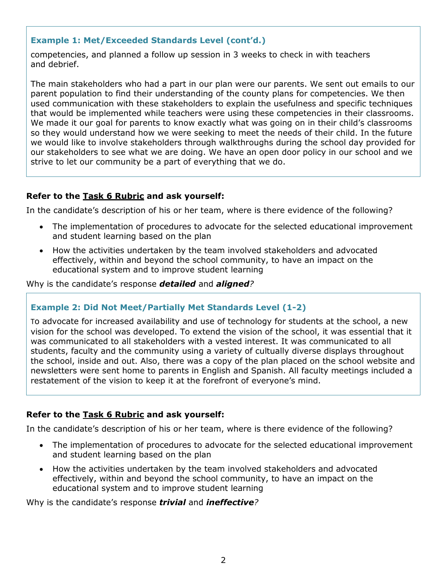#### **Example 1: Met/Exceeded Standards Level (cont'd.)**

competencies, and planned a follow up session in 3 weeks to check in with teachers and debrief.

The main stakeholders who had a part in our plan were our parents. We sent out emails to our parent population to find their understanding of the county plans for competencies. We then used communication with these stakeholders to explain the usefulness and specific techniques that would be implemented while teachers were using these competencies in their classrooms. We made it our goal for parents to know exactly what was going on in their child's classrooms so they would understand how we were seeking to meet the needs of their child. In the future we would like to involve stakeholders through walkthroughs during the school day provided for our stakeholders to see what we are doing. We have an open door policy in our school and we strive to let our community be a part of everything that we do.

#### **Refer to the [Task 6](http://gace.ets.org/s/pdf/gace_teacher_leadership_assessment_task_6_rubric.pdf) Rubric and ask yourself:**

In the candidate's description of his or her team, where is there evidence of the following?

- The implementation of procedures to advocate for the selected educational improvement and student learning based on the plan
- How the activities undertaken by the team involved stakeholders and advocated effectively, within and beyond the school community, to have an impact on the educational system and to improve student learning

Why is the candidate's response *detailed* and *aligned?*

#### **Example 2: Did Not Meet/Partially Met Standards Level (1-2)**

To advocate for increased availability and use of technology for students at the school, a new vision for the school was developed. To extend the vision of the school, it was essential that it was communicated to all stakeholders with a vested interest. It was communicated to all students, faculty and the community using a variety of cultually diverse displays throughout the school, inside and out. Also, there was a copy of the plan placed on the school website and newsletters were sent home to parents in English and Spanish. All faculty meetings included a restatement of the vision to keep it at the forefront of everyone's mind.

#### **Refer to the [Task 6](http://gace.ets.org/s/pdf/gace_teacher_leadership_assessment_task_6_rubric.pdf) Rubric and ask yourself:**

In the candidate's description of his or her team, where is there evidence of the following?

- The implementation of procedures to advocate for the selected educational improvement and student learning based on the plan
- How the activities undertaken by the team involved stakeholders and advocated effectively, within and beyond the school community, to have an impact on the educational system and to improve student learning

Why is the candidate's response *trivial* and *ineffective?*